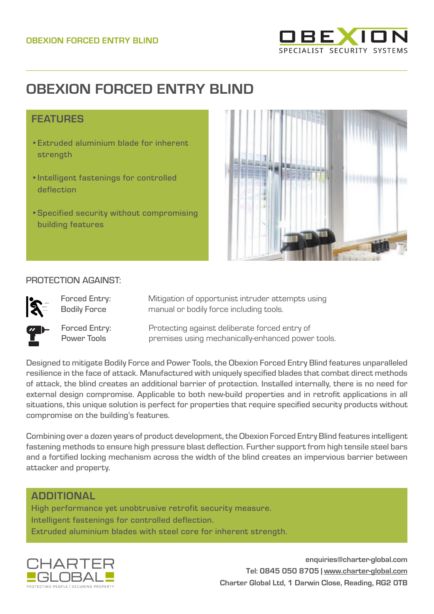

# **OBEXION FORCED ENTRY BLIND**

## **FFATURES**

- •Extruded aluminium blade for inherent strength
- •Intelligent fastenings for controlled deflection
- •Specified security without compromising building features



#### PROTECTION AGAINST:



Forced Entry: Bodily Force

Mitigation of opportunist intruder attempts using manual or bodily force including tools.



Forced Entry: Power Tools

Protecting against deliberate forced entry of premises using mechanically-enhanced power tools.

Designed to mitigate Bodily Force and Power Tools, the Obexion Forced Entry Blind features unparalleled resilience in the face of attack. Manufactured with uniquely specified blades that combat direct methods of attack, the blind creates an additional barrier of protection. Installed internally, there is no need for external design compromise. Applicable to both new-build properties and in retrofit applications in all situations, this unique solution is perfect for properties that require specified security products without compromise on the building's features.

Combining over a dozen years of product development, the Obexion Forced Entry Blind features intelligent fastening methods to ensure high pressure blast deflection. Further support from high tensile steel bars and a fortified locking mechanism across the width of the blind creates an impervious barrier between attacker and property.

### ADDITIONAL

High performance yet unobtrusive retrofit security measure. Intelligent fastenings for controlled deflection. Extruded aluminium blades with steel core for inherent strength.



**enquiries@charter-global.com Tel: 0845 050 8705 | www.charter-global.com Charter Global Ltd, 1 Darwin Close, Reading, RG2 0TB**